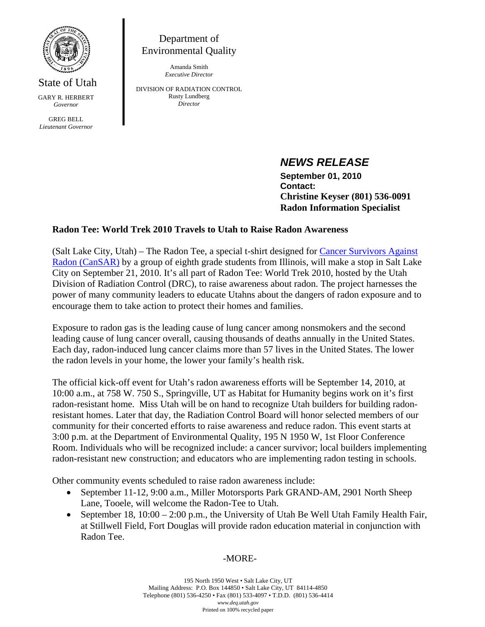

State of Utah GARY R. HERBERT *Governor* 

GREG BELL *Lieutenant Governor* 

Department of Environmental Quality

> Amanda Smith *Executive Director*

DIVISION OF RADIATION CONTROL Rusty Lundberg *Director* 

# *NEWS RELEASE*

 **September 01, 2010 Contact: Christine Keyser (801) 536-0091 Radon Information Specialist** 

# **Radon Tee: World Trek 2010 Travels to Utah to Raise Radon Awareness**

(Salt Lake City, Utah) – The Radon Tee, a special t-shirt designed for Cancer Survivors Against Radon (CanSAR) by a group of eighth grade students from Illinois, will make a stop in Salt Lake City on September 21, 2010. It's all part of Radon Tee: World Trek 2010, hosted by the Utah Division of Radiation Control (DRC), to raise awareness about radon. The project harnesses the power of many community leaders to educate Utahns about the dangers of radon exposure and to encourage them to take action to protect their homes and families.

Exposure to radon gas is the leading cause of lung cancer among nonsmokers and the second leading cause of lung cancer overall, causing thousands of deaths annually in the United States. Each day, radon-induced lung cancer claims more than 57 lives in the United States. The lower the radon levels in your home, the lower your family's health risk.

The official kick-off event for Utah's radon awareness efforts will be September 14, 2010, at 10:00 a.m., at 758 W. 750 S., Springville, UT as Habitat for Humanity begins work on it's first radon-resistant home. Miss Utah will be on hand to recognize Utah builders for building radonresistant homes. Later that day, the Radiation Control Board will honor selected members of our community for their concerted efforts to raise awareness and reduce radon. This event starts at 3:00 p.m. at the Department of Environmental Quality, 195 N 1950 W, 1st Floor Conference Room. Individuals who will be recognized include: a cancer survivor; local builders implementing radon-resistant new construction; and educators who are implementing radon testing in schools.

Other community events scheduled to raise radon awareness include:

- September 11-12, 9:00 a.m., Miller Motorsports Park GRAND-AM, 2901 North Sheep Lane, Tooele, will welcome the Radon-Tee to Utah.
- September 18,  $10:00 2:00$  p.m., the University of Utah Be Well Utah Family Health Fair, at Stillwell Field, Fort Douglas will provide radon education material in conjunction with Radon Tee.

# -MORE-